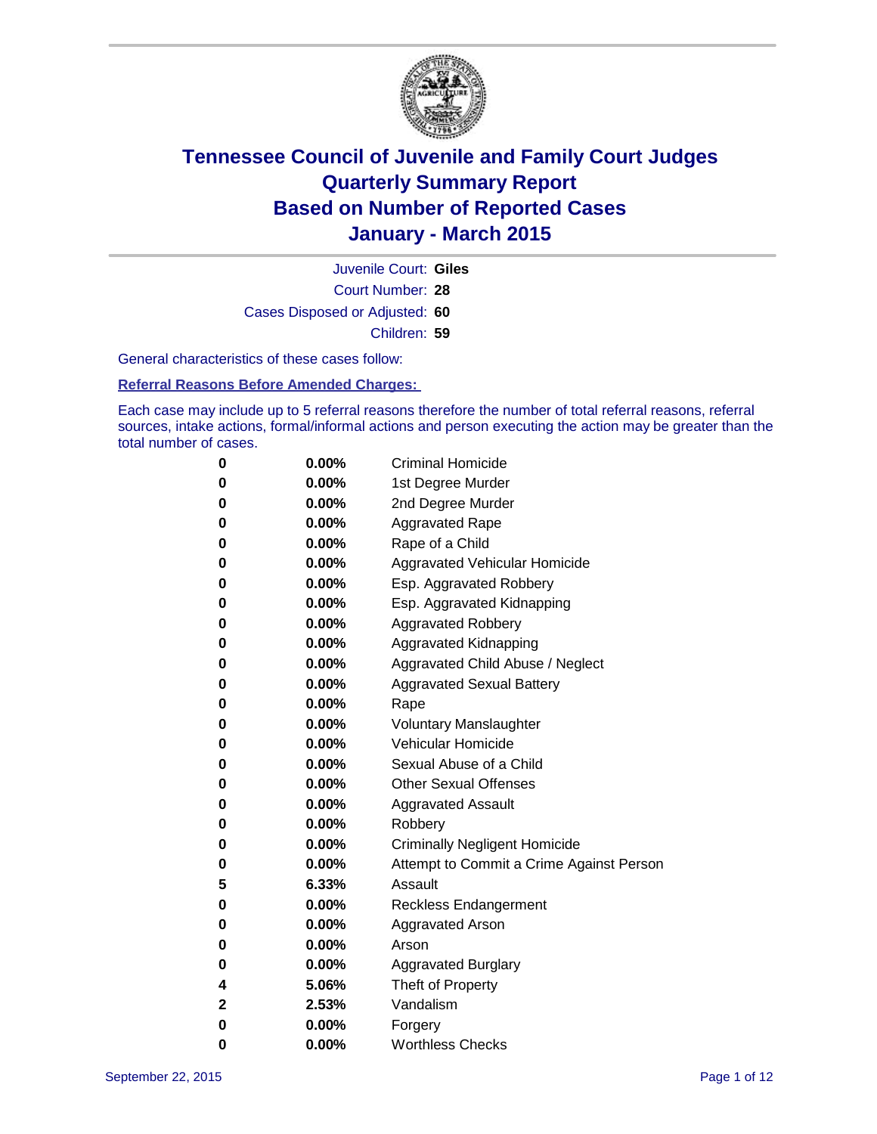

Court Number: **28** Juvenile Court: **Giles** Cases Disposed or Adjusted: **60** Children: **59**

General characteristics of these cases follow:

### **Referral Reasons Before Amended Charges:**

Each case may include up to 5 referral reasons therefore the number of total referral reasons, referral sources, intake actions, formal/informal actions and person executing the action may be greater than the total number of cases.

| 0           | 0.00%    | <b>Criminal Homicide</b>                 |
|-------------|----------|------------------------------------------|
| $\bf{0}$    | $0.00\%$ | 1st Degree Murder                        |
| $\bf{0}$    | 0.00%    | 2nd Degree Murder                        |
| 0           | $0.00\%$ | <b>Aggravated Rape</b>                   |
| 0           | $0.00\%$ | Rape of a Child                          |
| 0           | $0.00\%$ | Aggravated Vehicular Homicide            |
| 0           | 0.00%    | Esp. Aggravated Robbery                  |
| 0           | $0.00\%$ | Esp. Aggravated Kidnapping               |
| 0           | $0.00\%$ | <b>Aggravated Robbery</b>                |
| 0           | $0.00\%$ | Aggravated Kidnapping                    |
| 0           | 0.00%    | Aggravated Child Abuse / Neglect         |
| 0           | 0.00%    | <b>Aggravated Sexual Battery</b>         |
| $\bf{0}$    | $0.00\%$ | Rape                                     |
| 0           | 0.00%    | <b>Voluntary Manslaughter</b>            |
| 0           | $0.00\%$ | <b>Vehicular Homicide</b>                |
| 0           | $0.00\%$ | Sexual Abuse of a Child                  |
| $\bf{0}$    | $0.00\%$ | <b>Other Sexual Offenses</b>             |
| 0           | 0.00%    | <b>Aggravated Assault</b>                |
| 0           | $0.00\%$ | Robbery                                  |
| 0           | $0.00\%$ | <b>Criminally Negligent Homicide</b>     |
| $\bf{0}$    | $0.00\%$ | Attempt to Commit a Crime Against Person |
| 5           | 6.33%    | Assault                                  |
| 0           | $0.00\%$ | <b>Reckless Endangerment</b>             |
| 0           | $0.00\%$ | <b>Aggravated Arson</b>                  |
| $\bf{0}$    | $0.00\%$ | Arson                                    |
| $\bf{0}$    | $0.00\%$ | <b>Aggravated Burglary</b>               |
| 4           | 5.06%    | Theft of Property                        |
| $\mathbf 2$ | 2.53%    | Vandalism                                |
| $\bf{0}$    | 0.00%    | Forgery                                  |
| 0           | 0.00%    | <b>Worthless Checks</b>                  |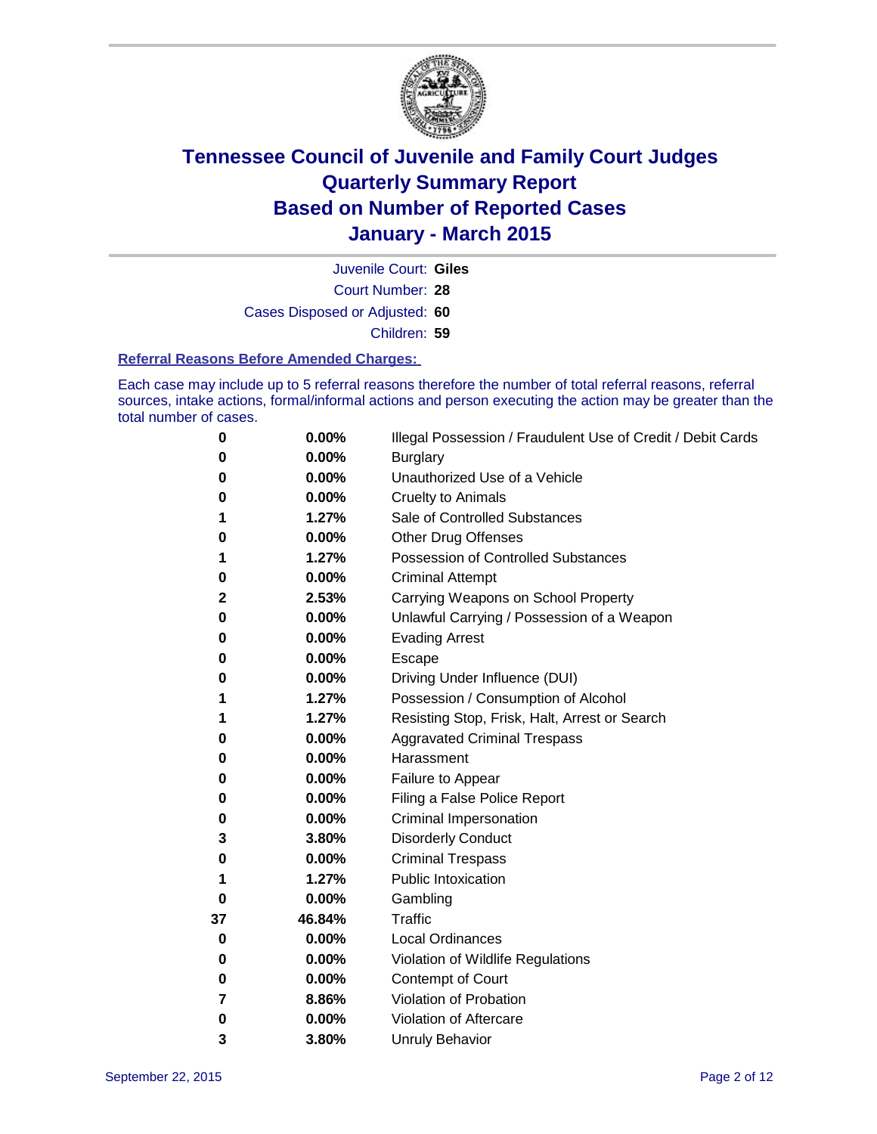

Court Number: **28** Juvenile Court: **Giles** Cases Disposed or Adjusted: **60** Children: **59**

#### **Referral Reasons Before Amended Charges:**

Each case may include up to 5 referral reasons therefore the number of total referral reasons, referral sources, intake actions, formal/informal actions and person executing the action may be greater than the total number of cases.

| 0        | 0.00%  | Illegal Possession / Fraudulent Use of Credit / Debit Cards |
|----------|--------|-------------------------------------------------------------|
| 0        | 0.00%  | <b>Burglary</b>                                             |
| 0        | 0.00%  | Unauthorized Use of a Vehicle                               |
| 0        | 0.00%  | <b>Cruelty to Animals</b>                                   |
| 1        | 1.27%  | Sale of Controlled Substances                               |
| 0        | 0.00%  | <b>Other Drug Offenses</b>                                  |
| 1        | 1.27%  | <b>Possession of Controlled Substances</b>                  |
| 0        | 0.00%  | <b>Criminal Attempt</b>                                     |
| 2        | 2.53%  | Carrying Weapons on School Property                         |
| 0        | 0.00%  | Unlawful Carrying / Possession of a Weapon                  |
| 0        | 0.00%  | <b>Evading Arrest</b>                                       |
| 0        | 0.00%  | Escape                                                      |
| 0        | 0.00%  | Driving Under Influence (DUI)                               |
| 1        | 1.27%  | Possession / Consumption of Alcohol                         |
| 1        | 1.27%  | Resisting Stop, Frisk, Halt, Arrest or Search               |
| 0        | 0.00%  | <b>Aggravated Criminal Trespass</b>                         |
| 0        | 0.00%  | Harassment                                                  |
| 0        | 0.00%  | Failure to Appear                                           |
| 0        | 0.00%  | Filing a False Police Report                                |
| 0        | 0.00%  | <b>Criminal Impersonation</b>                               |
| 3        | 3.80%  | <b>Disorderly Conduct</b>                                   |
| 0        | 0.00%  | <b>Criminal Trespass</b>                                    |
| 1        | 1.27%  | <b>Public Intoxication</b>                                  |
| $\bf{0}$ | 0.00%  | Gambling                                                    |
| 37       | 46.84% | <b>Traffic</b>                                              |
| 0        | 0.00%  | <b>Local Ordinances</b>                                     |
| 0        | 0.00%  | Violation of Wildlife Regulations                           |
| 0        | 0.00%  | Contempt of Court                                           |
| 7        | 8.86%  | Violation of Probation                                      |
| 0        | 0.00%  | Violation of Aftercare                                      |
| 3        | 3.80%  | <b>Unruly Behavior</b>                                      |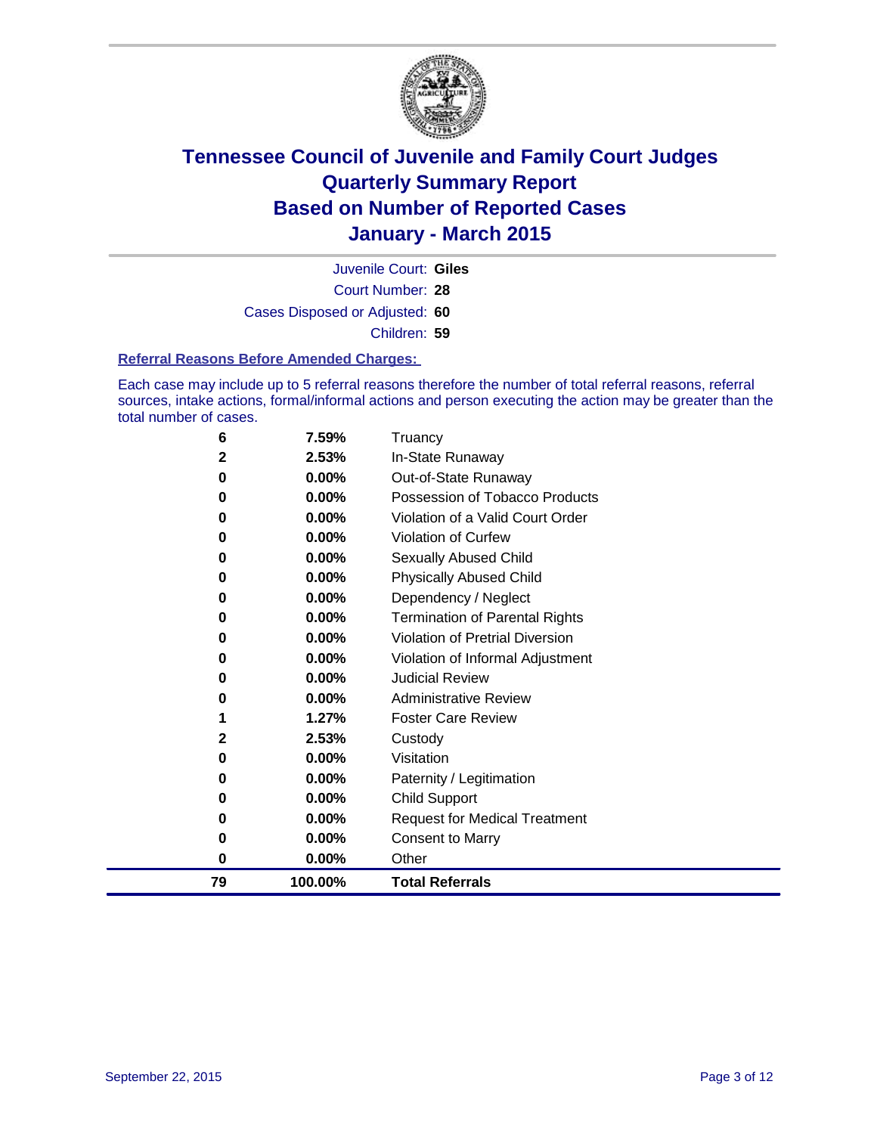

Court Number: **28** Juvenile Court: **Giles** Cases Disposed or Adjusted: **60** Children: **59**

#### **Referral Reasons Before Amended Charges:**

Each case may include up to 5 referral reasons therefore the number of total referral reasons, referral sources, intake actions, formal/informal actions and person executing the action may be greater than the total number of cases.

| 6  | 7.59%    | Truancy                                |
|----|----------|----------------------------------------|
| 2  | 2.53%    | In-State Runaway                       |
| 0  | 0.00%    | Out-of-State Runaway                   |
| 0  | 0.00%    | Possession of Tobacco Products         |
| 0  | $0.00\%$ | Violation of a Valid Court Order       |
| 0  | 0.00%    | <b>Violation of Curfew</b>             |
| 0  | 0.00%    | Sexually Abused Child                  |
| 0  | 0.00%    | <b>Physically Abused Child</b>         |
| 0  | 0.00%    | Dependency / Neglect                   |
| 0  | 0.00%    | <b>Termination of Parental Rights</b>  |
| 0  | 0.00%    | <b>Violation of Pretrial Diversion</b> |
| 0  | 0.00%    | Violation of Informal Adjustment       |
| 0  | 0.00%    | <b>Judicial Review</b>                 |
| 0  | $0.00\%$ | <b>Administrative Review</b>           |
| 1  | 1.27%    | <b>Foster Care Review</b>              |
| 2  | 2.53%    | Custody                                |
| 0  | $0.00\%$ | Visitation                             |
| 0  | 0.00%    | Paternity / Legitimation               |
| 0  | 0.00%    | <b>Child Support</b>                   |
| 0  | 0.00%    | <b>Request for Medical Treatment</b>   |
| 0  | 0.00%    | <b>Consent to Marry</b>                |
| 0  | 0.00%    | Other                                  |
| 79 | 100.00%  | <b>Total Referrals</b>                 |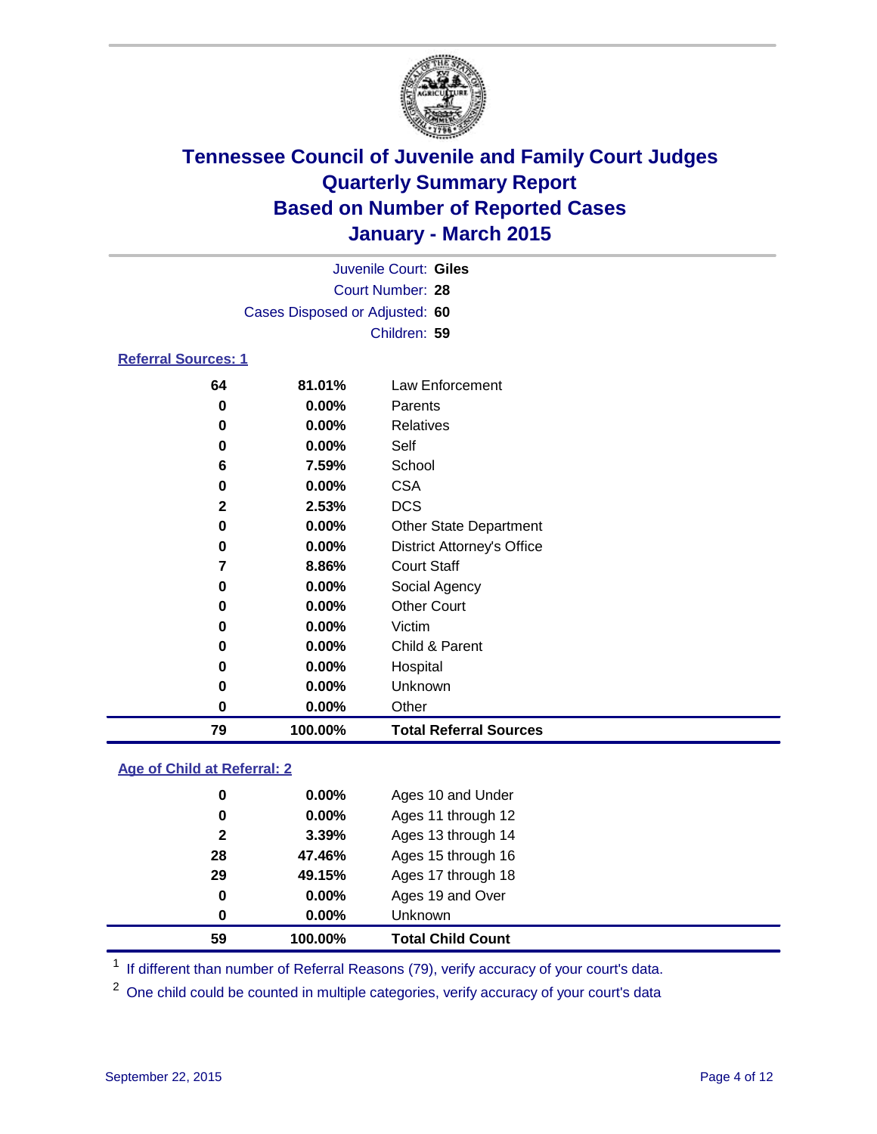

| Juvenile Court: Giles          |  |
|--------------------------------|--|
| Court Number: 28               |  |
| Cases Disposed or Adjusted: 60 |  |
| Children: 59                   |  |
| <b>Referral Sources: 1</b>     |  |

| 79 | 100.00%               | <b>Total Referral Sources</b>     |
|----|-----------------------|-----------------------------------|
|    | 0.00%<br>0            | Other                             |
|    | 0.00%<br>0            | Unknown                           |
|    | 0.00%<br>0            | Hospital                          |
|    | 0.00%<br>0            | Child & Parent                    |
|    | 0.00%<br>0            | Victim                            |
|    | $0.00\%$<br>0         | <b>Other Court</b>                |
|    | 0.00%<br>0            | Social Agency                     |
|    | 8.86%                 | <b>Court Staff</b>                |
|    | $0.00\%$<br>0         | <b>District Attorney's Office</b> |
|    | 0.00%<br>0            | <b>Other State Department</b>     |
|    | $\mathbf{2}$<br>2.53% | <b>DCS</b>                        |
|    | 0.00%<br>0            | <b>CSA</b>                        |
|    | 7.59%<br>6            | School                            |
|    | $0.00\%$<br>0         | Self                              |
|    | 0.00%<br>0            | Relatives                         |
|    | $0.00\%$<br>0         | Parents                           |
| 64 | 81.01%                | Law Enforcement                   |

### **Age of Child at Referral: 2**

| 59           | 100.00%  | <b>Total Child Count</b> |
|--------------|----------|--------------------------|
| 0            | 0.00%    | Unknown                  |
| 0            | $0.00\%$ | Ages 19 and Over         |
| 29           | 49.15%   | Ages 17 through 18       |
| 28           | 47.46%   | Ages 15 through 16       |
| $\mathbf{2}$ | 3.39%    | Ages 13 through 14       |
| 0            | $0.00\%$ | Ages 11 through 12       |
| 0            | $0.00\%$ | Ages 10 and Under        |

<sup>1</sup> If different than number of Referral Reasons (79), verify accuracy of your court's data.

One child could be counted in multiple categories, verify accuracy of your court's data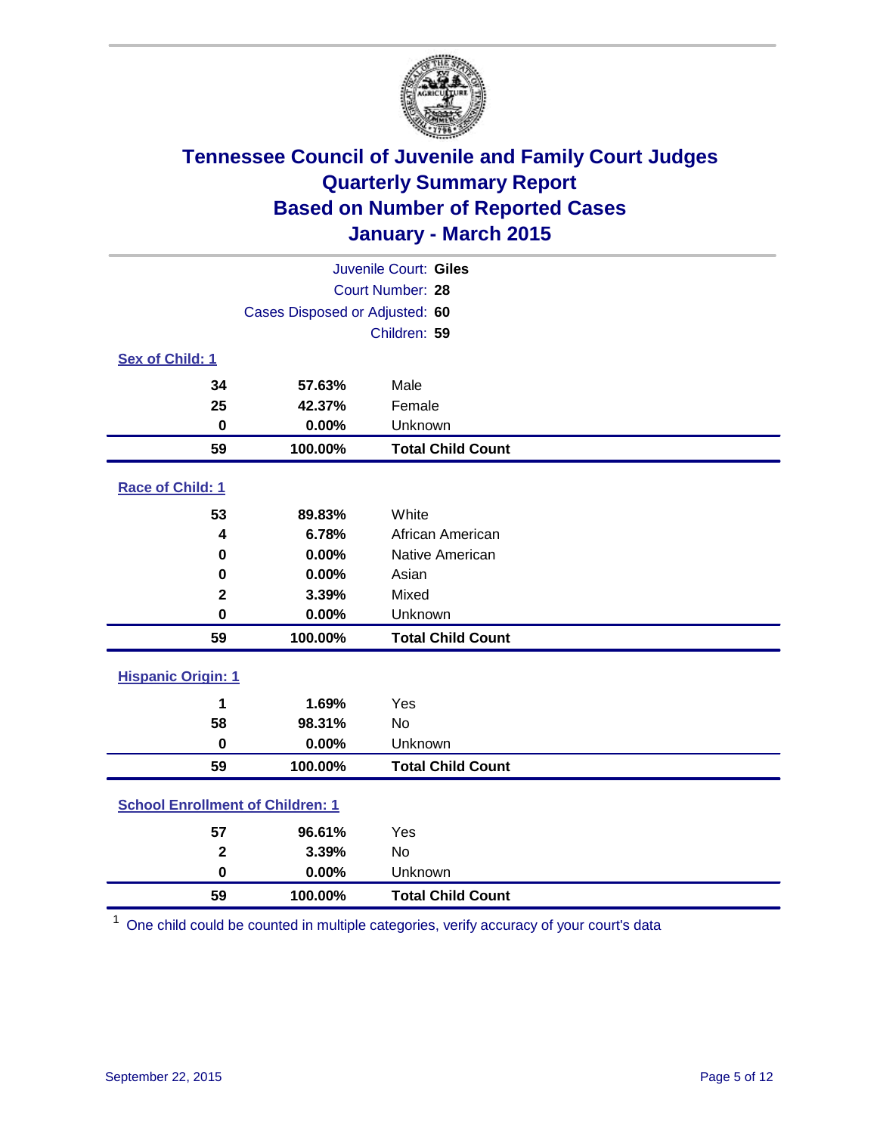

|                                         |                                | Juvenile Court: Giles    |
|-----------------------------------------|--------------------------------|--------------------------|
|                                         |                                | Court Number: 28         |
|                                         | Cases Disposed or Adjusted: 60 |                          |
|                                         |                                | Children: 59             |
| Sex of Child: 1                         |                                |                          |
| 34                                      | 57.63%                         | Male                     |
| 25                                      | 42.37%                         | Female                   |
| $\bf{0}$                                | 0.00%                          | Unknown                  |
| 59                                      | 100.00%                        | <b>Total Child Count</b> |
| Race of Child: 1                        |                                |                          |
| 53                                      | 89.83%                         | White                    |
| 4                                       | 6.78%                          | African American         |
| 0                                       | 0.00%                          | Native American          |
| 0                                       | 0.00%                          | Asian                    |
| $\mathbf 2$                             | 3.39%                          | Mixed                    |
| 0                                       | 0.00%                          | Unknown                  |
| 59                                      | 100.00%                        | <b>Total Child Count</b> |
| <b>Hispanic Origin: 1</b>               |                                |                          |
| 1                                       | 1.69%                          | Yes                      |
| 58                                      | 98.31%                         | <b>No</b>                |
| $\bf{0}$                                | 0.00%                          | Unknown                  |
| 59                                      | 100.00%                        | <b>Total Child Count</b> |
| <b>School Enrollment of Children: 1</b> |                                |                          |
| 57                                      | 96.61%                         | Yes                      |
| $\overline{\mathbf{2}}$                 | 3.39%                          | <b>No</b>                |
| $\bf{0}$                                | 0.00%                          | Unknown                  |
| 59                                      | 100.00%                        | <b>Total Child Count</b> |

One child could be counted in multiple categories, verify accuracy of your court's data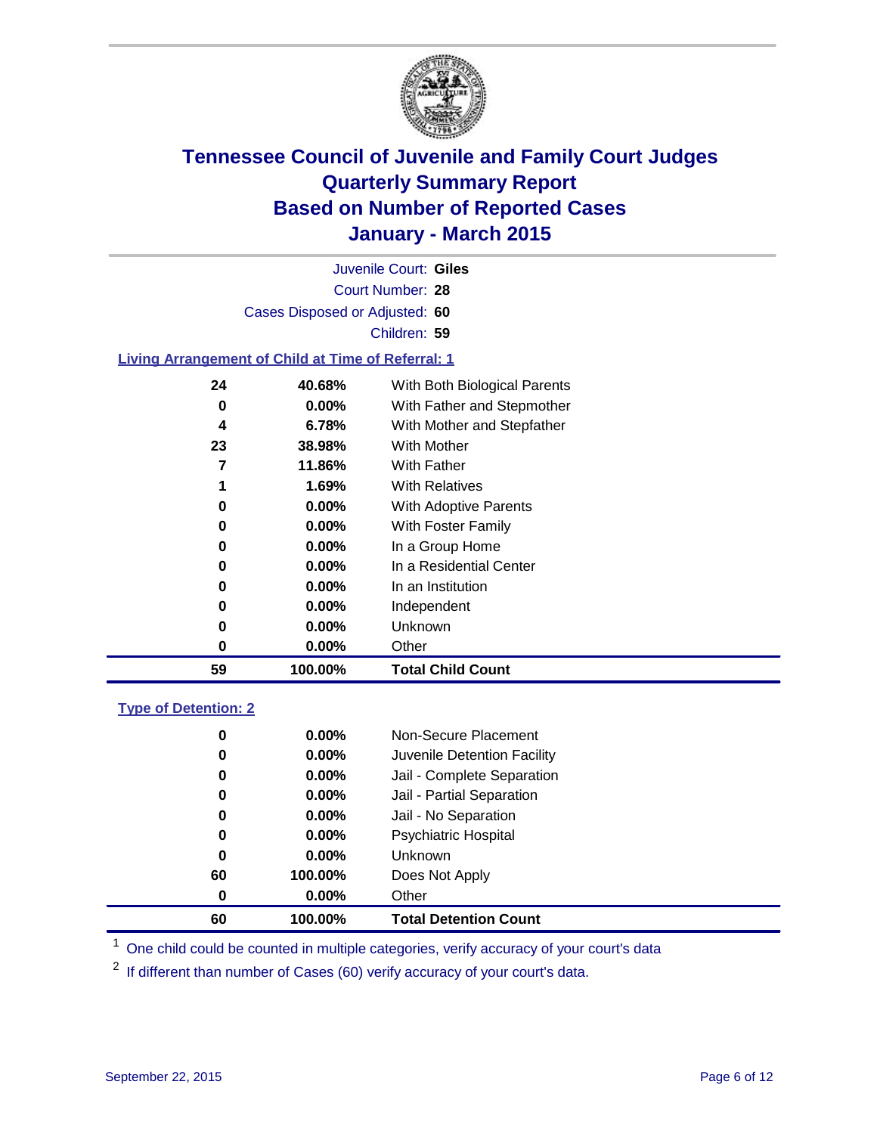

Court Number: **28** Juvenile Court: **Giles** Cases Disposed or Adjusted: **60** Children: **59**

### **Living Arrangement of Child at Time of Referral: 1**

| 24 | 40.68%   | With Both Biological Parents |
|----|----------|------------------------------|
| 0  | $0.00\%$ | With Father and Stepmother   |
| 4  | 6.78%    | With Mother and Stepfather   |
| 23 | 38.98%   | With Mother                  |
| 7  | 11.86%   | With Father                  |
| 1  | 1.69%    | <b>With Relatives</b>        |
| 0  | 0.00%    | With Adoptive Parents        |
| 0  | $0.00\%$ | With Foster Family           |
| 0  | 0.00%    | In a Group Home              |
| 0  | 0.00%    | In a Residential Center      |
| 0  | $0.00\%$ | In an Institution            |
| 0  | $0.00\%$ | Independent                  |
| 0  | 0.00%    | Unknown                      |
| 0  | $0.00\%$ | Other                        |
| 59 | 100.00%  | <b>Total Child Count</b>     |

### **Type of Detention: 2**

| 0  | $0.00\%$ | Non-Secure Placement         |  |
|----|----------|------------------------------|--|
| 0  | 0.00%    | Juvenile Detention Facility  |  |
| 0  | $0.00\%$ | Jail - Complete Separation   |  |
| 0  | 0.00%    | Jail - Partial Separation    |  |
| 0  | $0.00\%$ | Jail - No Separation         |  |
| 0  | $0.00\%$ | <b>Psychiatric Hospital</b>  |  |
| 0  | $0.00\%$ | <b>Unknown</b>               |  |
| 60 | 100.00%  | Does Not Apply               |  |
| 0  | $0.00\%$ | Other                        |  |
| 60 | 100.00%  | <b>Total Detention Count</b> |  |

<sup>1</sup> One child could be counted in multiple categories, verify accuracy of your court's data

If different than number of Cases (60) verify accuracy of your court's data.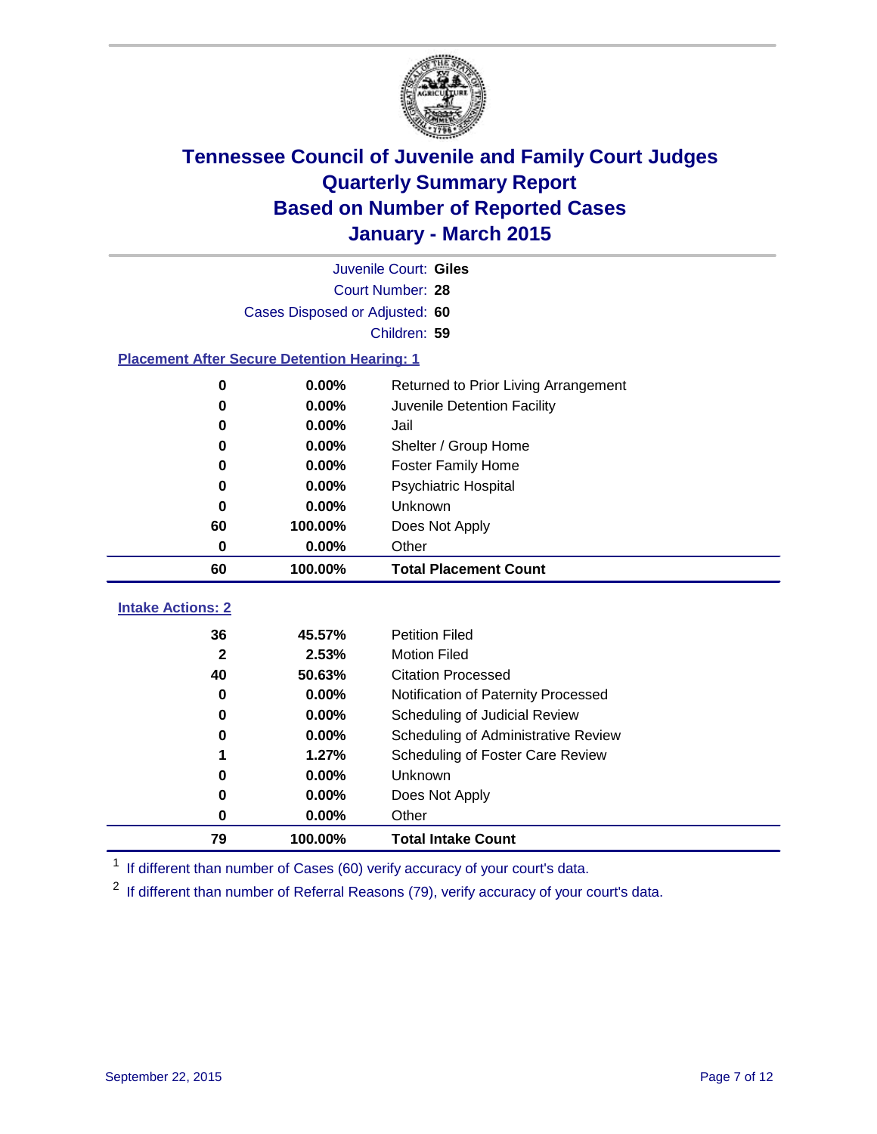

| Juvenile Court: Giles                              |                                |                                      |  |  |  |  |
|----------------------------------------------------|--------------------------------|--------------------------------------|--|--|--|--|
|                                                    | Court Number: 28               |                                      |  |  |  |  |
|                                                    | Cases Disposed or Adjusted: 60 |                                      |  |  |  |  |
|                                                    |                                | Children: 59                         |  |  |  |  |
| <b>Placement After Secure Detention Hearing: 1</b> |                                |                                      |  |  |  |  |
| O                                                  | 0.00%                          | Returned to Prior Living Arrangement |  |  |  |  |
| 0                                                  | 0.00%                          | Juvenile Detention Facility          |  |  |  |  |
| 0                                                  | 0.00%                          | Jail                                 |  |  |  |  |
| 0                                                  | 0.00%                          | Shelter / Group Home                 |  |  |  |  |
| 0                                                  | 0.00%                          | <b>Foster Family Home</b>            |  |  |  |  |
| 0                                                  | 0.00%                          | <b>Psychiatric Hospital</b>          |  |  |  |  |
| 0                                                  | 0.00%                          | <b>Unknown</b>                       |  |  |  |  |
| 60                                                 | 100.00%                        | Does Not Apply                       |  |  |  |  |
| 0                                                  | 0.00%                          | Other                                |  |  |  |  |
| 60                                                 | 100.00%                        | <b>Total Placement Count</b>         |  |  |  |  |
| <b>Intake Actions: 2</b>                           |                                |                                      |  |  |  |  |
| 36                                                 | 45.57%                         | <b>Petition Filed</b>                |  |  |  |  |
| $\mathbf{2}$                                       | 2.53%                          | <b>Motion Filed</b>                  |  |  |  |  |
| 40                                                 | 50.63%                         | <b>Citation Processed</b>            |  |  |  |  |
| 0                                                  | 0.00%                          | Notification of Paternity Processed  |  |  |  |  |
| 0                                                  | 0.00%                          | Scheduling of Judicial Review        |  |  |  |  |
| 0                                                  | 0.00%                          | Scheduling of Administrative Review  |  |  |  |  |
| 1                                                  | 1.27%                          | Scheduling of Foster Care Review     |  |  |  |  |
| Ω                                                  | 0.00%                          | Unknown                              |  |  |  |  |
| 0                                                  | 0.00%                          | Does Not Apply                       |  |  |  |  |

<sup>1</sup> If different than number of Cases (60) verify accuracy of your court's data.

**100.00% Total Intake Count**

**0.00%** Other

<sup>2</sup> If different than number of Referral Reasons (79), verify accuracy of your court's data.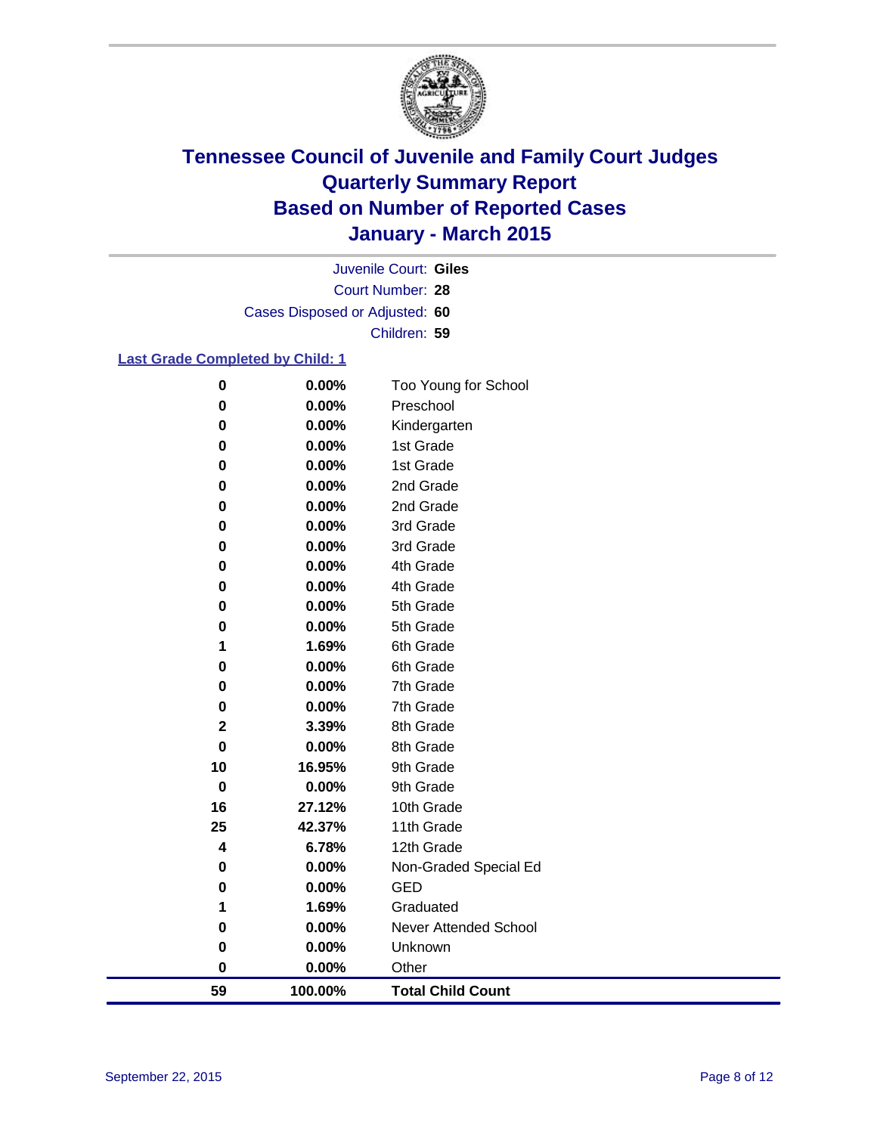

Court Number: **28** Juvenile Court: **Giles** Cases Disposed or Adjusted: **60** Children: **59**

### **Last Grade Completed by Child: 1**

| 59                   | 100.00%           | <b>Total Child Count</b> |
|----------------------|-------------------|--------------------------|
| $\bf{0}$             | $0.00\%$          | Other                    |
| 0                    | 0.00%             | Unknown                  |
| $\bf{0}$             | 0.00%             | Never Attended School    |
| 1                    | 1.69%             | Graduated                |
| 0                    | 0.00%             | <b>GED</b>               |
| 0                    | 0.00%             | Non-Graded Special Ed    |
| 4                    | 6.78%             | 12th Grade               |
| 25                   | 42.37%            | 11th Grade               |
| 16                   | 27.12%            | 10th Grade               |
| $\bf{0}$             | 0.00%             | 9th Grade                |
| 10                   | 16.95%            | 9th Grade                |
| $\mathbf 0$          | 0.00%             | 8th Grade                |
| $\mathbf 2$          | 3.39%             | 8th Grade                |
| 0                    | 0.00%             | 7th Grade                |
| 0                    | 0.00%             | 7th Grade                |
| 0                    | 0.00%             | 6th Grade                |
| 1                    | 1.69%             | 6th Grade                |
| $\bf{0}$             | 0.00%             | 5th Grade                |
| $\bf{0}$             | 0.00%             | 5th Grade                |
| 0                    | 0.00%             | 4th Grade                |
| 0                    | 0.00%             | 4th Grade                |
| 0                    | 0.00%             | 3rd Grade                |
| $\bf{0}$<br>$\bf{0}$ | $0.00\%$<br>0.00% | 3rd Grade                |
| 0                    | 0.00%             | 2nd Grade<br>2nd Grade   |
| 0                    | 0.00%             | 1st Grade                |
| 0                    | 0.00%             | 1st Grade                |
| $\bf{0}$             | $0.00\%$          | Kindergarten             |
| $\bf{0}$             | 0.00%             | Preschool                |
| $\pmb{0}$            | 0.00%             | Too Young for School     |
|                      |                   |                          |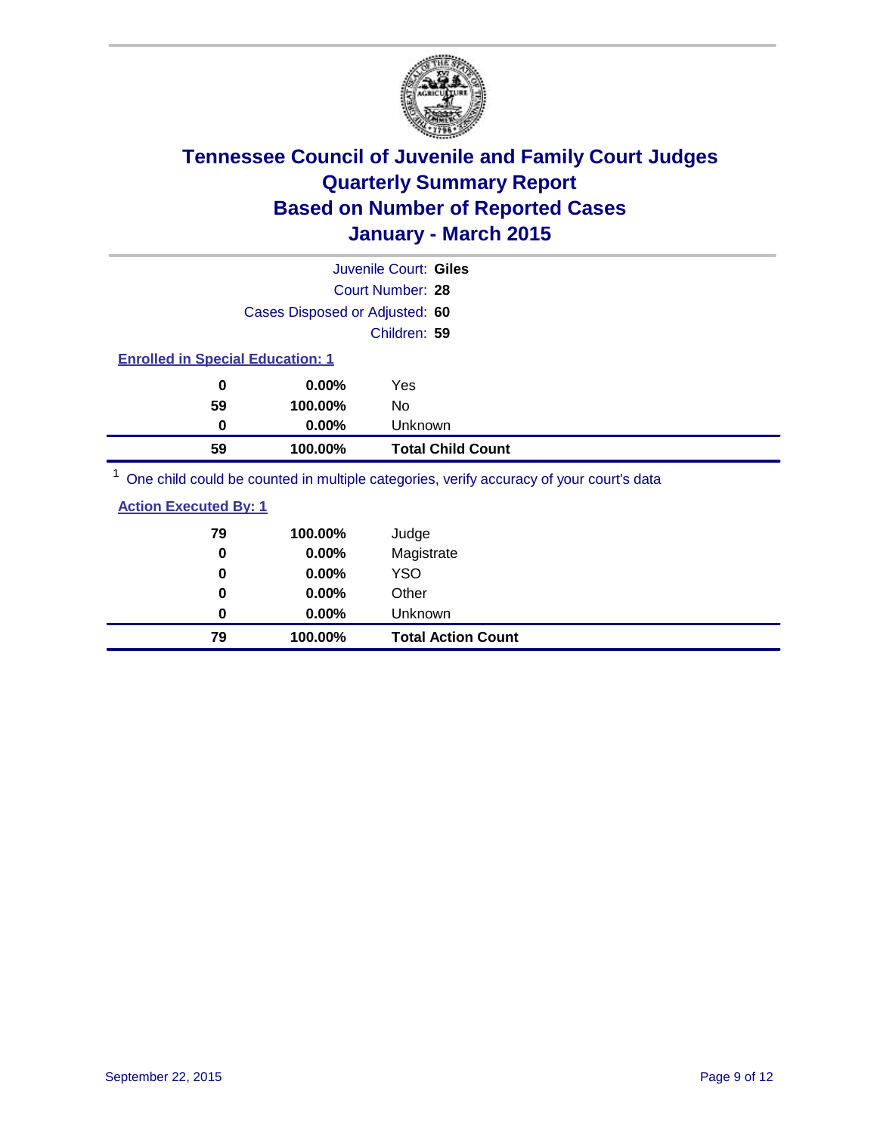

|                                         |                                | Juvenile Court: Giles                                                                 |  |
|-----------------------------------------|--------------------------------|---------------------------------------------------------------------------------------|--|
|                                         |                                | Court Number: 28                                                                      |  |
|                                         | Cases Disposed or Adjusted: 60 |                                                                                       |  |
|                                         |                                | Children: 59                                                                          |  |
| <b>Enrolled in Special Education: 1</b> |                                |                                                                                       |  |
| 0                                       | $0.00\%$                       | Yes                                                                                   |  |
| 59                                      | 100.00%                        | No.                                                                                   |  |
| 0                                       | 0.00%                          | <b>Unknown</b>                                                                        |  |
| 59                                      | 100.00%                        | <b>Total Child Count</b>                                                              |  |
|                                         |                                | One objet could be counted in multiple estagging worify accuracy of your courtie data |  |

<sup>1</sup> One child could be counted in multiple categories, verify accuracy of your court's data

| <b>Action Executed By: 1</b> |  |
|------------------------------|--|
|                              |  |

| 79 | 100.00%  | Judge                     |
|----|----------|---------------------------|
| 0  | 0.00%    | Magistrate                |
| 0  | 0.00%    | <b>YSO</b>                |
| 0  | $0.00\%$ | Other                     |
| 0  | $0.00\%$ | Unknown                   |
| 79 | 100.00%  | <b>Total Action Count</b> |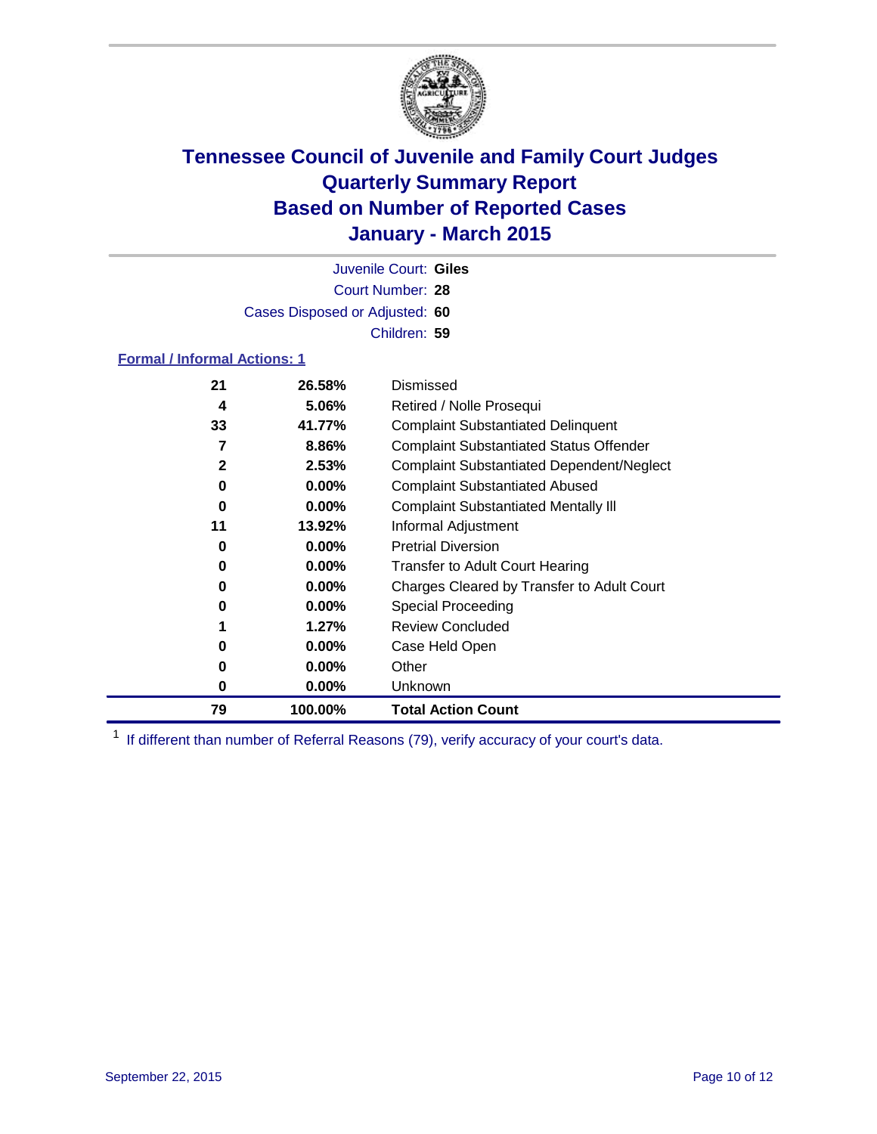

Court Number: **28** Juvenile Court: **Giles** Cases Disposed or Adjusted: **60** Children: **59**

### **Formal / Informal Actions: 1**

| 21 | 26.58%   | Dismissed                                        |  |
|----|----------|--------------------------------------------------|--|
| 4  | 5.06%    | Retired / Nolle Prosequi                         |  |
| 33 | 41.77%   | <b>Complaint Substantiated Delinquent</b>        |  |
| 7  | 8.86%    | <b>Complaint Substantiated Status Offender</b>   |  |
| 2  | 2.53%    | <b>Complaint Substantiated Dependent/Neglect</b> |  |
| 0  | $0.00\%$ | <b>Complaint Substantiated Abused</b>            |  |
| 0  | $0.00\%$ | <b>Complaint Substantiated Mentally III</b>      |  |
| 11 | 13.92%   | Informal Adjustment                              |  |
| 0  | $0.00\%$ | <b>Pretrial Diversion</b>                        |  |
| 0  | $0.00\%$ | <b>Transfer to Adult Court Hearing</b>           |  |
| 0  | $0.00\%$ | Charges Cleared by Transfer to Adult Court       |  |
| 0  | $0.00\%$ | Special Proceeding                               |  |
|    | 1.27%    | <b>Review Concluded</b>                          |  |
| 0  | $0.00\%$ | Case Held Open                                   |  |
| 0  | $0.00\%$ | Other                                            |  |
| 0  | $0.00\%$ | <b>Unknown</b>                                   |  |
| 79 | 100.00%  | <b>Total Action Count</b>                        |  |

<sup>1</sup> If different than number of Referral Reasons (79), verify accuracy of your court's data.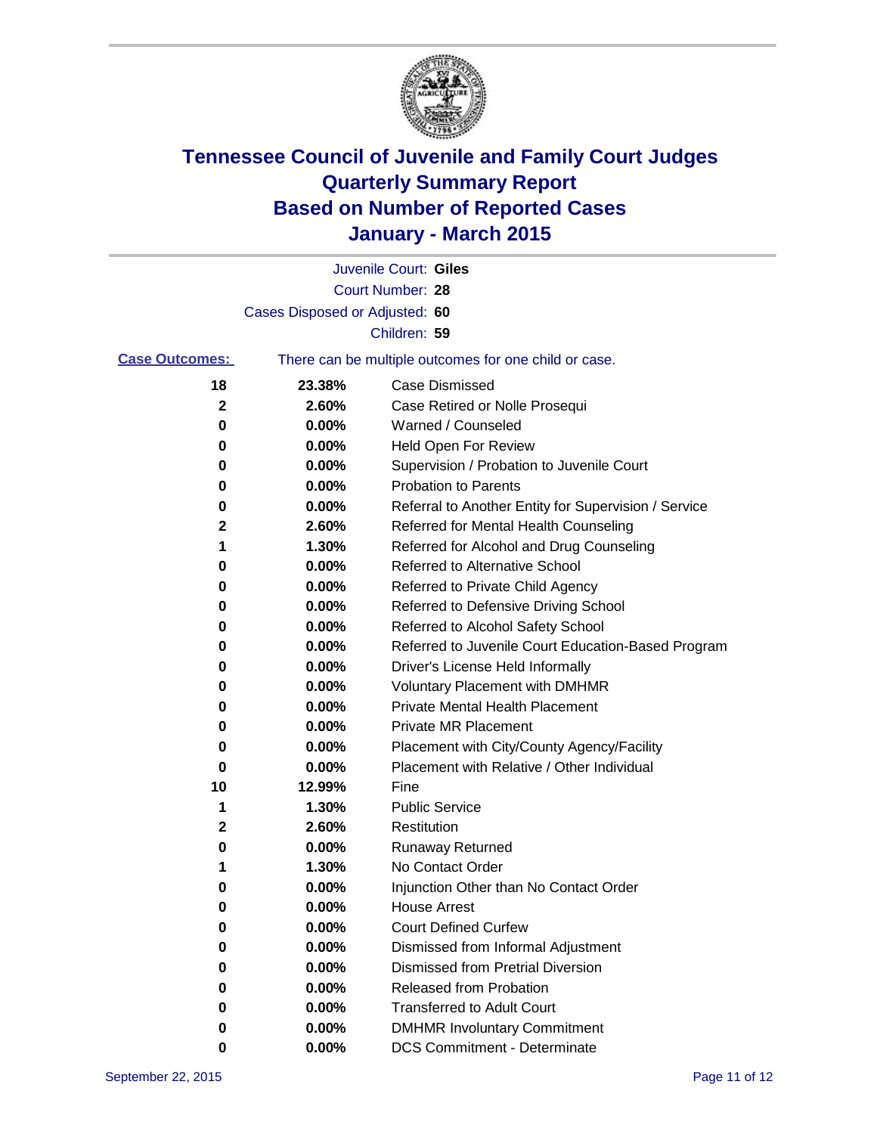

|                       |                                | Juvenile Court: Giles                                 |
|-----------------------|--------------------------------|-------------------------------------------------------|
|                       |                                | Court Number: 28                                      |
|                       | Cases Disposed or Adjusted: 60 |                                                       |
|                       |                                | Children: 59                                          |
| <b>Case Outcomes:</b> |                                | There can be multiple outcomes for one child or case. |
| 18                    | 23.38%                         | <b>Case Dismissed</b>                                 |
| $\mathbf{2}$          | 2.60%                          | Case Retired or Nolle Prosequi                        |
| 0                     | 0.00%                          | Warned / Counseled                                    |
| 0                     | 0.00%                          | <b>Held Open For Review</b>                           |
| 0                     | 0.00%                          | Supervision / Probation to Juvenile Court             |
| 0                     | 0.00%                          | <b>Probation to Parents</b>                           |
| 0                     | 0.00%                          | Referral to Another Entity for Supervision / Service  |
| $\mathbf 2$           | 2.60%                          | Referred for Mental Health Counseling                 |
| 1                     | 1.30%                          | Referred for Alcohol and Drug Counseling              |
| 0                     | 0.00%                          | Referred to Alternative School                        |
| 0                     | 0.00%                          | Referred to Private Child Agency                      |
| 0                     | 0.00%                          | Referred to Defensive Driving School                  |
| 0                     | 0.00%                          | Referred to Alcohol Safety School                     |
| 0                     | 0.00%                          | Referred to Juvenile Court Education-Based Program    |
| 0                     | 0.00%                          | Driver's License Held Informally                      |
| 0                     | 0.00%                          | <b>Voluntary Placement with DMHMR</b>                 |
| 0                     | 0.00%                          | <b>Private Mental Health Placement</b>                |
| 0                     | 0.00%                          | <b>Private MR Placement</b>                           |
| 0                     | 0.00%                          | Placement with City/County Agency/Facility            |
| 0                     | 0.00%                          | Placement with Relative / Other Individual            |
| 10                    | 12.99%                         | Fine                                                  |
| 1                     | 1.30%                          | <b>Public Service</b>                                 |
| $\mathbf 2$           | 2.60%                          | Restitution                                           |
| 0                     | 0.00%                          | <b>Runaway Returned</b>                               |
| 1                     | 1.30%                          | No Contact Order                                      |
| 0                     | 0.00%                          | Injunction Other than No Contact Order                |
| 0                     | 0.00%                          | <b>House Arrest</b>                                   |
| 0                     | 0.00%                          | <b>Court Defined Curfew</b>                           |
| 0                     | 0.00%                          | Dismissed from Informal Adjustment                    |
| 0                     | 0.00%                          | Dismissed from Pretrial Diversion                     |
| 0                     | 0.00%                          | Released from Probation                               |
| 0                     | 0.00%                          | <b>Transferred to Adult Court</b>                     |
| 0                     | 0.00%                          | <b>DMHMR Involuntary Commitment</b>                   |
| 0                     | $0.00\%$                       | <b>DCS Commitment - Determinate</b>                   |